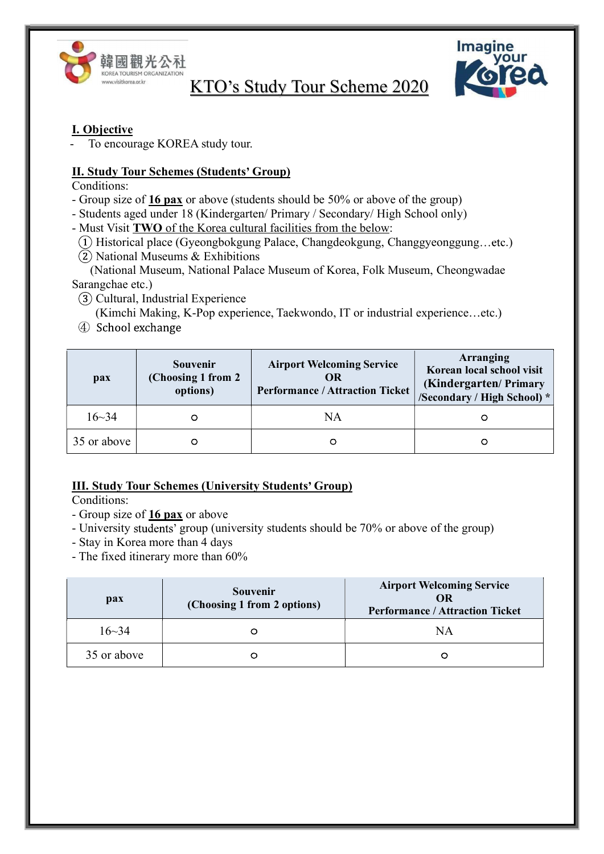



### I. Objective

To encourage KOREA study tour.

### II. Study Tour Schemes (Students' Group)

Conditions:

- Group size of 16 pax or above (students should be 50% or above of the group)
- Students aged under 18 (Kindergarten/ Primary / Secondary/ High School only)
- Must Visit TWO of the Korea cultural facilities from the below:
- (1) Historical place (Gyeongbokgung Palace, Changdeokgung, Changgyeonggung...etc.)
- $(2)$  National Museums & Exhibitions
- (National Museum, National Palace Museum of Korea, Folk Museum, Cheongwadae Sarangchae etc.)
- (3) Cultural, Industrial Experience (Kimchi Making, K-Pop experience, Taekwondo, IT or industrial experience...etc.)
- 4 School exchange

| <b>pax</b>  | <b>Souvenir</b><br>(Choosing 1 from 2)<br>options) | <b>Airport Welcoming Service</b><br>OR<br><b>Performance / Attraction Ticket</b> | Arranging<br>Korean local school visit<br>(Kindergarten/Primary<br>/Secondary / High School) * |
|-------------|----------------------------------------------------|----------------------------------------------------------------------------------|------------------------------------------------------------------------------------------------|
| $16 - 34$   |                                                    | ΝA                                                                               |                                                                                                |
| 35 or above |                                                    |                                                                                  |                                                                                                |

## **III. Study Tour Schemes (University Students' Group)**

Conditions:

- Group size of **16 pax** or above
- University students' group (university students should be 70% or above of the group)
- Stay in Korea more than 4 days
- The fixed itinerary more than 60%

| pax         | <b>Souvenir</b><br>(Choosing 1 from 2 options) | <b>Airport Welcoming Service</b><br>OR<br><b>Performance / Attraction Ticket</b> |
|-------------|------------------------------------------------|----------------------------------------------------------------------------------|
| $16 - 34$   |                                                | NΑ                                                                               |
| 35 or above |                                                |                                                                                  |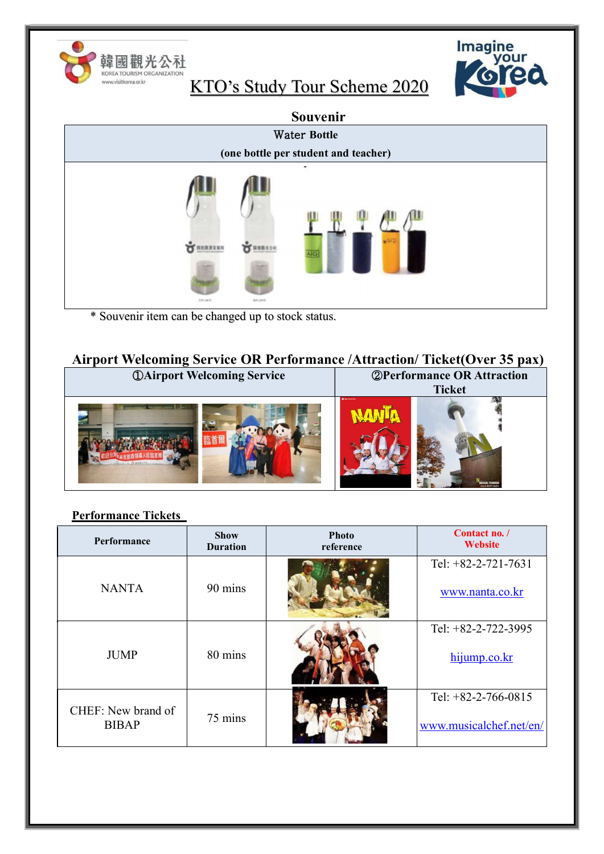

Imagine<br>Vour<br>Voled

|                                                    | Souvenir                             |
|----------------------------------------------------|--------------------------------------|
|                                                    | <b>Water Bottle</b>                  |
|                                                    | (one bottle per student and teacher) |
| <b>SALLARY</b>                                     | त्राट<br>161,070                     |
| * Souvenir item can be changed up to stock status. |                                      |

Airport Welcoming Service OR Performance /Attraction/ Ticket(Over 35 pax)

| <b><i>OAirport Welcoming Service</i></b> | <b>2 Performance OR Attraction</b>  |  |
|------------------------------------------|-------------------------------------|--|
|                                          | <b>Ticket</b>                       |  |
|                                          | <b>ONCHINEER</b><br><b>OUL TOWN</b> |  |

## Performance Tickets

| Performance                        | <b>Show</b><br><b>Duration</b> | <b>Photo</b><br>reference | Contact no. /<br><b>Website</b>                  |
|------------------------------------|--------------------------------|---------------------------|--------------------------------------------------|
| <b>NANTA</b>                       | 90 mins                        |                           | Tel: $+82-2-721-7631$<br>www.nanta.co.kr         |
| <b>JUMP</b>                        | 80 mins                        |                           | Tel: $+82-2-722-3995$<br>hijump.co.kr            |
| CHEF: New brand of<br><b>BIBAP</b> | 75 mins                        |                           | Tel: $+82-2-766-0815$<br>www.musicalchef.net/en/ |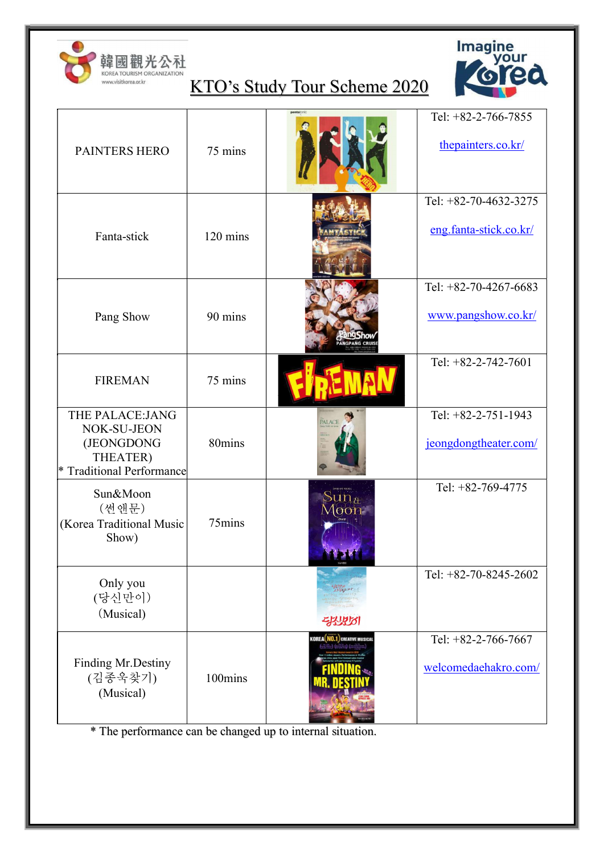



| <b>PAINTERS HERO</b>                                                                              | 75 mins            |                                      | Tel: $+82-2-766-7855$<br>thepainters.co.kr/     |
|---------------------------------------------------------------------------------------------------|--------------------|--------------------------------------|-------------------------------------------------|
| Fanta-stick                                                                                       | $120 \text{ mins}$ |                                      | Tel: +82-70-4632-3275<br>eng.fanta-stick.co.kr/ |
| Pang Show                                                                                         | 90 mins            | <b>ANGPANG CRUIS</b>                 | Tel: +82-70-4267-6683<br>www.pangshow.co.kr/    |
| <b>FIREMAN</b>                                                                                    | 75 mins            |                                      | Tel: $+82-2-742-7601$                           |
| THE PALACE: JANG<br>NOK-SU-JEON<br>(JEONGDONG<br>THEATER)<br><b>Traditional Performance</b><br> * | 80mins             | PALACE                               | Tel: +82-2-751-1943<br>jeongdongtheater.com/    |
| Sun&Moon<br>(썬앤문)<br>(Korea Traditional Music<br>Show)                                            | 75mins             | suma<br> 00n                         | Tel: +82-769-4775                               |
| Only you<br>(당신만이)<br>(Musical)                                                                   |                    | Aligaji.ur<br>Argaji.ur<br>55550     | Tel: +82-70-8245-2602                           |
| <b>Finding Mr.Destiny</b><br>(김종욱찾기)<br>(Musical)                                                 | 100mins            | <b>KOREA NO.1</b> , CREATIVE MUSICAL | Tel: $+82-2-766-7667$<br>welcomedaehakro.com/   |

\* The performance can be changed up to internal situation.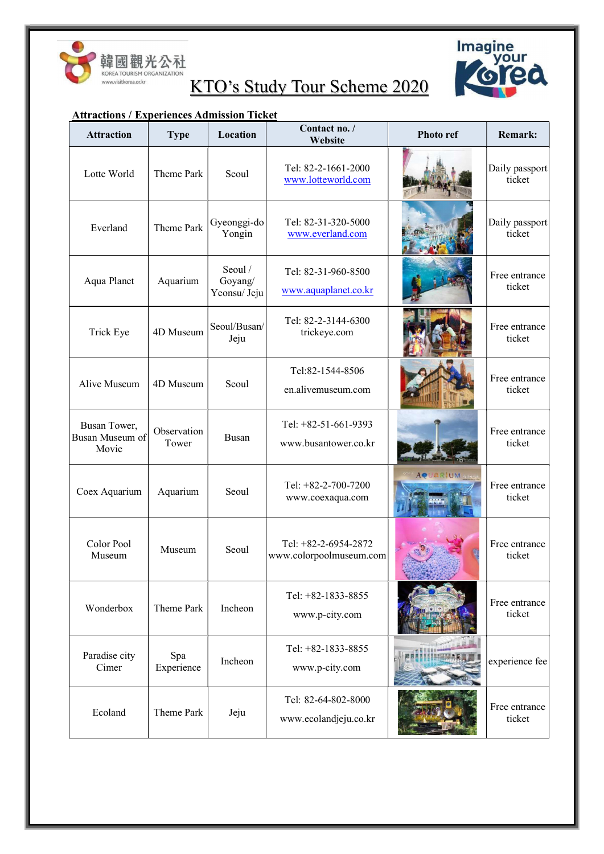



### Attractions / Experiences Admission Ticket

| <b>Attraction</b>                        | <b>Type</b>          | Location                           | Contact no. /<br>Website                        | <b>Photo ref</b> | <b>Remark:</b>           |
|------------------------------------------|----------------------|------------------------------------|-------------------------------------------------|------------------|--------------------------|
| Lotte World                              | Theme Park           | Seoul                              | Tel: 82-2-1661-2000<br>www.lotteworld.com       |                  | Daily passport<br>ticket |
| Everland                                 | Theme Park           | Gyeonggi-do<br>Yongin              | Tel: 82-31-320-5000<br>www.everland.com         |                  | Daily passport<br>ticket |
| Aqua Planet                              | Aquarium             | Seoul /<br>Goyang/<br>Yeonsu/ Jeju | Tel: 82-31-960-8500<br>www.aquaplanet.co.kr     |                  | Free entrance<br>ticket  |
| Trick Eye                                | 4D Museum            | Seoul/Busan/<br>Jeju               | Tel: 82-2-3144-6300<br>trickeye.com             |                  | Free entrance<br>ticket  |
| Alive Museum                             | 4D Museum            | Seoul                              | Tel:82-1544-8506<br>en.alivemuseum.com          |                  | Free entrance<br>ticket  |
| Busan Tower,<br>Busan Museum of<br>Movie | Observation<br>Tower | Busan                              | Tel: +82-51-661-9393<br>www.busantower.co.kr    |                  | Free entrance<br>ticket  |
| Coex Aquarium                            | Aquarium             | Seoul                              | Tel: $+82-2-700-7200$<br>www.coexaqua.com       | <b>AQUARIUM</b>  | Free entrance<br>ticket  |
| Color Pool<br>Museum                     | Museum               | Seoul                              | Tel: +82-2-6954-2872<br>www.colorpoolmuseum.com |                  | Free entrance<br>ticket  |
| Wonderbox                                | Theme Park           | Incheon                            | Tel: $+82-1833-8855$<br>www.p-city.com          |                  | Free entrance<br>ticket  |
| Paradise city<br>Cimer                   | Spa<br>Experience    | Incheon                            | Tel: +82-1833-8855<br>www.p-city.com            |                  | experience fee           |
| Ecoland                                  | Theme Park           | Jeju                               | Tel: 82-64-802-8000<br>www.ecolandjeju.co.kr    |                  | Free entrance<br>ticket  |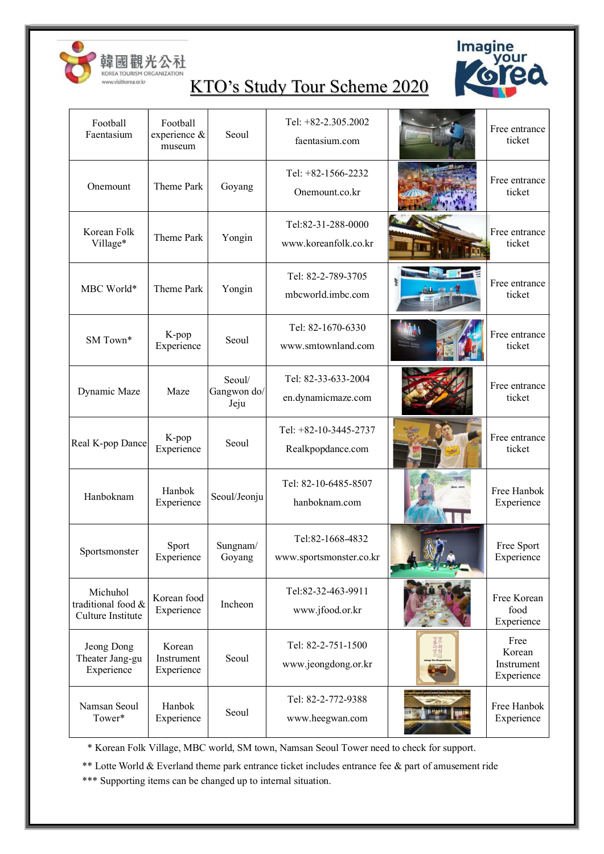



| Football<br>Faentasium                              | Football<br>experience &<br>museum | Seoul                         | Tel: +82-2.305.2002<br>faentasium.com       | Free entrance<br>ticket                    |
|-----------------------------------------------------|------------------------------------|-------------------------------|---------------------------------------------|--------------------------------------------|
| Onemount                                            | Theme Park                         | Goyang                        | Tel: $+82-1566-2232$<br>Onemount.co.kr      | Free entrance<br>ticket                    |
| Korean Folk<br>Village*                             | Theme Park                         | Yongin                        | Tel:82-31-288-0000<br>www.koreanfolk.co.kr  | Free entrance<br>ticket                    |
| MBC World*                                          | Theme Park                         | Yongin                        | Tel: 82-2-789-3705<br>mbcworld.imbc.com     | Free entrance<br>ticket                    |
| SM Town*                                            | K-pop<br>Experience                | Seoul                         | Tel: 82-1670-6330<br>www.smtownland.com     | Free entrance<br>ticket                    |
| Dynamic Maze                                        | Maze                               | Seoul/<br>Gangwon do/<br>Jeju | Tel: 82-33-633-2004<br>en.dynamicmaze.com   | Free entrance<br>ticket                    |
| Real K-pop Dance                                    | K-pop<br>Experience                | Seoul                         | Tel: +82-10-3445-2737<br>Realkpopdance.com  | Free entrance<br>ticket                    |
| Hanboknam                                           | Hanbok<br>Experience               | Seoul/Jeonju                  | Tel: 82-10-6485-8507<br>hanboknam.com       | Free Hanbok<br>Experience                  |
| Sportsmonster                                       | Sport<br>Experience                | Sungnam/<br>Goyang            | Tel:82-1668-4832<br>www.sportsmonster.co.kr | Free Sport<br>Experience                   |
| Michuhol<br>traditional food &<br>Culture Institute | Korean food<br>Experience          | Incheon                       | Tel:82-32-463-9911<br>www.jfood.or.kr       | Free Korean<br>food<br>Experience          |
| Jeong Dong<br>Theater Jang-gu<br>Experience         | Korean<br>Instrument<br>Experience | Seoul                         | Tel: 82-2-751-1500<br>www.jeongdong.or.kr   | Free<br>Korean<br>Instrument<br>Experience |
| Namsan Seoul<br>Tower*                              | Hanbok<br>Experience               | Seoul                         | Tel: 82-2-772-9388<br>www.heegwan.com       | Free Hanbok<br>Experience                  |

\* Korean Folk Village, MBC world, SM town, Namsan Seoul Tower need to check for support.

\*\* Lotte World & Everland theme park entrance ticket includes entrance fee & part of amusement ride

\*\*\* Supporting items can be changed up to internal situation.